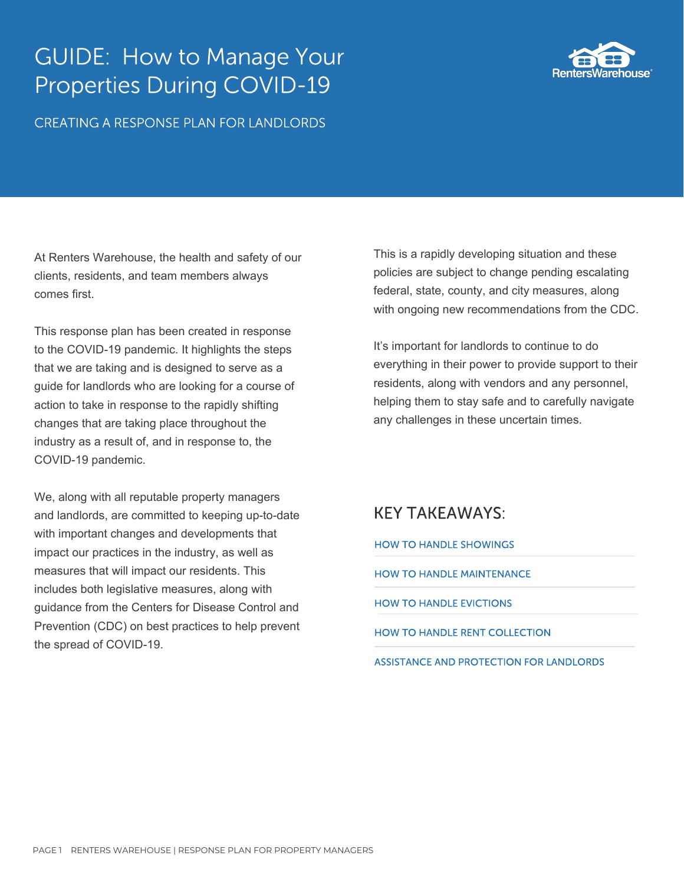# GUIDE: How to Manage Your Properties During COVID-19

CREATING A RESPONSE PLAN FOR LANDLORDS



At Renters Warehouse, the health and safety of our clients, residents, and team members always comes first.

This response plan has been created in response to the COVID-19 pandemic. It highlights the steps that we are taking and is designed to serve as a guide for landlords who are looking for a course of action to take in response to the rapidly shifting changes that are taking place throughout the industry as a result of, and in response to, the COVID-19 pandemic.

We, along with all reputable property managers and landlords, are committed to keeping up-to-date with important changes and developments that impact our practices in the industry, as well as measures that will impact our residents. This includes both legislative measures, along with guidance from the Centers for Disease Control and Prevention (CDC) on best practices to help prevent the spread of COVID-19.

This is a rapidly developing situation and these policies are subject to change pending escalating federal, state, county, and city measures, along with ongoing new recommendations from the CDC.

It's important for landlords to continue to do everything in their power to provide support to their residents, along with vendors and any personnel, helping them to stay safe and to carefully navigate any challenges in these uncertain times.

## KEY TAKEAWAYS:

[HOW TO HANDLE SHOWINGS](https://venngage.com/)

HOW TO HANDLE MAINTENANCE

HOW TO HANDLE EVICTIONS

HOW TO HANDLE RENT COLLECTION

ASSISTANCE AND PROTECTION FOR LANDLORDS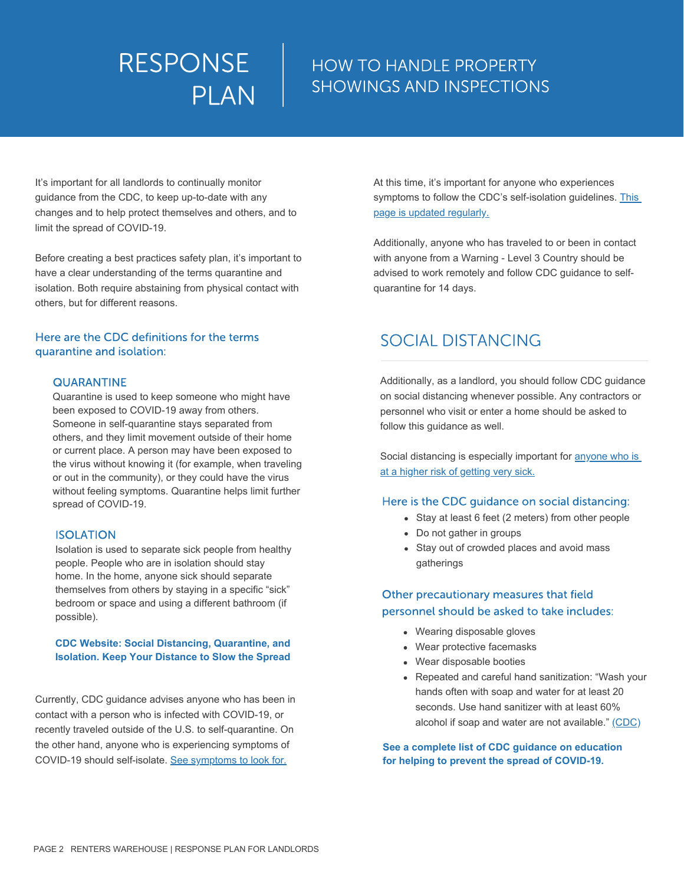# HOW TO HANDLE PROPERTY SHOWINGS AND INSPECTIONS

It's important for all landlords to continually monitor guidance from the CDC, to keep up-to-date with any changes and to help protect themselves and others, and to limit the spread of COVID-19.

Before creating a best practices safety plan, it's important to have a clear understanding of the terms quarantine and isolation. Both require abstaining from physical contact with others, but for different reasons.

## Here are the CDC definitions for the terms quarantine and isolation:

## QUARANTINE

Quarantine is used to keep someone who might have been exposed to COVID-19 away from others. Someone in self-quarantine stays separated from others, and they limit movement outside of their home or current place. A person may have been exposed to the virus without knowing it (for example, when traveling or out in the community), or they could have the virus without feeling symptoms. Quarantine helps limit further spread of COVID-19.

## ISOLATION

Isolation is used to separate sick people from healthy people. People who are in isolation should stay home. In the home, anyone sick should separate themselves from others by staying in a specific "sick" bedroom or space and using a different bathroom (if possible).

#### **[CDC Website: Social Distancing, Quarantine, and](https://www.cdc.gov/coronavirus/2019-ncov/prevent-getting-sick/social-distancing.html)  Isolation. Keep Your Distance to Slow the Spread**

Currently, CDC guidance advises anyone who has been in contact with a person who is infected with COVID-19, or recently traveled outside of the U.S. to self-quarantine. On the other hand, anyone who is experiencing symptoms of COVID-19 should self-isolate. [See symptoms to look for.](https://www.cdc.gov/coronavirus/2019-ncov/symptoms-testing/symptoms.html)

At this time, it's important for anyone who experiences [symptoms to follow the CDC's self-isolation guidelines. This](https://www.cdc.gov/coronavirus/2019-ncov/community/guidance-business-response.html) page is updated regularly.

Additionally, anyone who has traveled to or been in contact with anyone from a Warning - Level 3 Country should be advised to work remotely and follow CDC guidance to selfquarantine for 14 days.

# SOCIAL DISTANCING

Additionally, as a landlord, you should follow CDC guidance on social distancing whenever possible. Any contractors or personnel who visit or enter a home should be asked to follow this guidance as well.

[Social distancing is especially important for anyone who is](https://www.cdc.gov/mmwr/volumes/69/wr/mm6912e2.htm?s_cid=mm6912e2_w) at a higher risk of getting very sick.

## Here is the CDC guidance on social distancing:

- Stay at least 6 feet (2 meters) from other people
- Do not gather in groups
- Stay out of crowded places and avoid mass gatherings

## Other precautionary measures that field personnel should be asked to take includes:

- Wearing disposable gloves
- Wear protective facemasks
- Wear disposable booties
- Repeated and careful hand sanitization: "Wash your hands often with soap and water for at least 20 seconds. Use hand sanitizer with at least 60% alcohol if soap and water are not available." [\(CDC\)](https://www.cdc.gov/coronavirus/2019-ncov/community/guidance-business-response.html)

**See a complete list of CDC guidance on education for helping to prevent the spread of COVID-19.**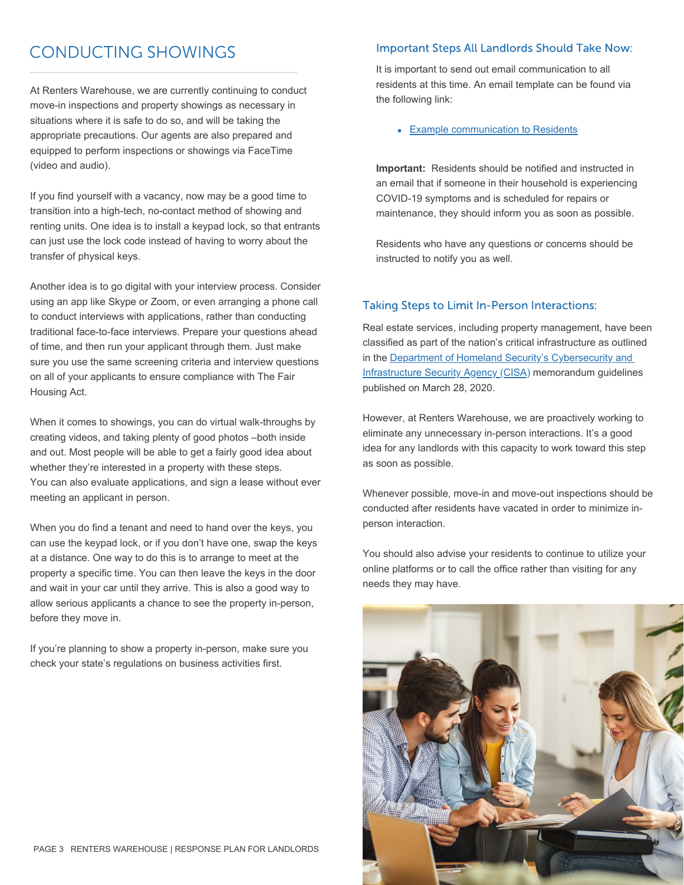# CONDUCTING SHOWINGS

At Renters Warehouse, we are currently continuing to conduct move-in inspections and property showings as necessary in situations where it is safe to do so, and will be taking the appropriate precautions. Our agents are also prepared and equipped to perform inspections or showings via FaceTime (video and audio).

If you find yourself with a vacancy, now may be a good time to transition into a high-tech, no-contact method of showing and renting units. One idea is to install a keypad lock, so that entrants can just use the lock code instead of having to worry about the transfer of physical keys.

Another idea is to go digital with your interview process. Consider using an app like Skype or Zoom, or even arranging a phone call to conduct interviews with applications, rather than conducting traditional face-to-face interviews. Prepare your questions ahead of time, and then run your applicant through them. Just make sure you use the same screening criteria and interview questions on all of your applicants to ensure compliance with The Fair Housing Act.

When it comes to showings, you can do virtual walk-throughs by creating videos, and taking plenty of good photos –both inside and out. Most people will be able to get a fairly good idea about whether they're interested in a property with these steps. You can also evaluate applications, and sign a lease without ever meeting an applicant in person.

When you do find a tenant and need to hand over the keys, you can use the keypad lock, or if you don't have one, swap the keys at a distance. One way to do this is to arrange to meet at the property a specific time. You can then leave the keys in the door and wait in your car until they arrive. This is also a good way to allow serious applicants a chance to see the property in-person, before they move in.

If you're planning to show a property in-person, make sure you check your state's regulations on business activities first.

## Important Steps All Landlords Should Take Now:

It is important to send out email communication to all residents at this time. An email template can be found via the following link:

## **[Example communication to Residents](https://venngage.com/)**

**Important:** Residents should be notified and instructed in an email that if someone in their household is experiencing COVID-19 symptoms and is scheduled for repairs or maintenance, they should inform you as soon as possible.

Residents who have any questions or concerns should be instructed to notify you as well.

## Taking Steps to Limit In-Person Interactions:

Real estate services, including property management, have been classified as part of the nation's critical infrastructure as outlined in the Department of Homeland Security's Cybersecurity and [Infrastructure Security Agency \(CISA\) memorandum guideline](https://www.cisa.gov/sites/default/files/publications/CISA_Guidance_on_the_Essential_Critical_Infrastructure_Workforce_Version_2.0_Updated.pdf)s published on March 28, 2020.

However, at Renters Warehouse, we are proactively working to eliminate any unnecessary in-person interactions. It's a good idea for any landlords with this capacity to work toward this step as soon as possible.

Whenever possible, move-in and move-out inspections should be conducted after residents have vacated in order to minimize inperson interaction.

You should also advise your residents to continue to utilize your online platforms or to call the office rather than visiting for any needs they may have.

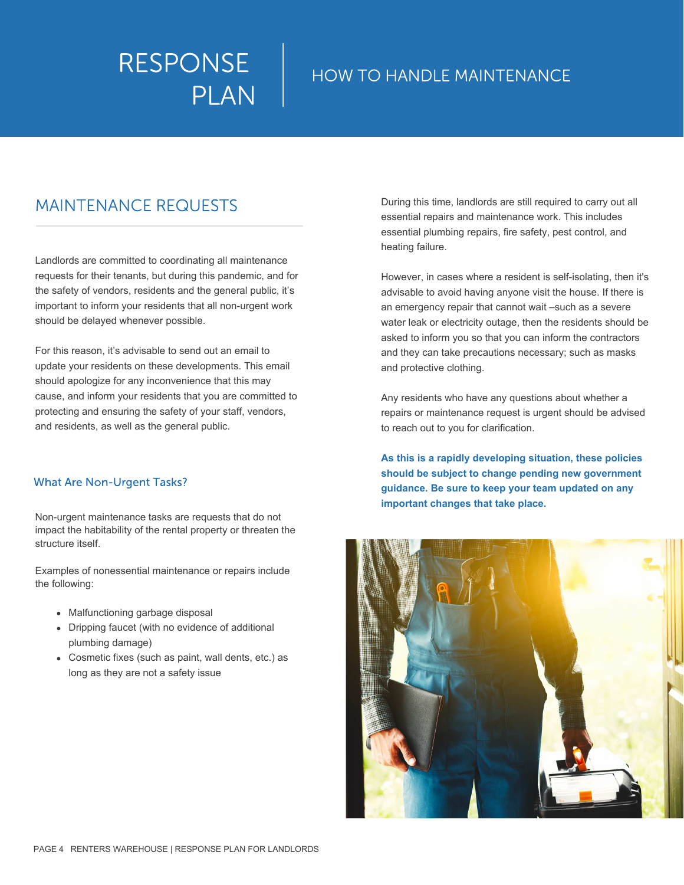# HOW TO HANDLE MAINTENANCE

# MAINTENANCE REQUESTS

Landlords are committed to coordinating all maintenance requests for their tenants, but during this pandemic, and for the safety of vendors, residents and the general public, it's important to inform your residents that all non-urgent work should be delayed whenever possible.

For this reason, it's advisable to send out an email to update your residents on these developments. This email should apologize for any inconvenience that this may cause, and inform your residents that you are committed to protecting and ensuring the safety of your staff, vendors, and residents, as well as the general public.

## What Are Non-Urgent Tasks?

Non-urgent maintenance tasks are requests that do not impact the habitability of the rental property or threaten the structure itself.

Examples of nonessential maintenance or repairs include the following:

- Malfunctioning garbage disposal
- Dripping faucet (with no evidence of additional plumbing damage)
- Cosmetic fixes (such as paint, wall dents, etc.) as long as they are not a safety issue

During this time, landlords are still required to carry out all essential repairs and maintenance work. This includes essential plumbing repairs, fire safety, pest control, and heating failure.

However, in cases where a resident is self-isolating, then it's advisable to avoid having anyone visit the house. If there is an emergency repair that cannot wait –such as a severe water leak or electricity outage, then the residents should be asked to inform you so that you can inform the contractors and they can take precautions necessary; such as masks and protective clothing.

Any residents who have any questions about whether a repairs or maintenance request is urgent should be advised to reach out to you for clarification.

**As this is a rapidly developing situation, these policies should be subject to change pending new government guidance. Be sure to keep your team updated on any important changes that take place.**

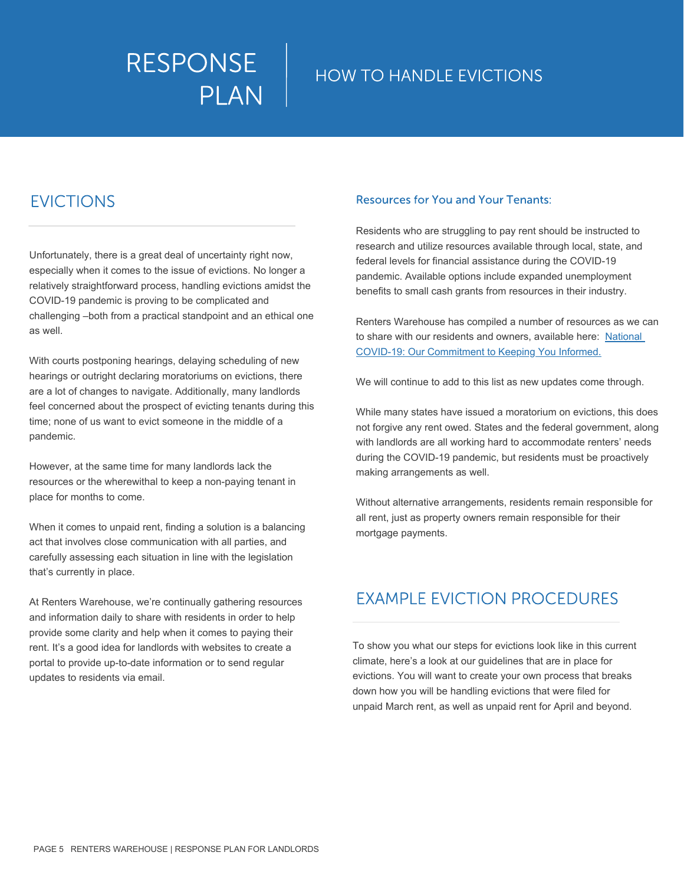# RESPONSE | HOW TO HANDLE EVICTIONS PLAN

# EVICTIONS

Unfortunately, there is a great deal of uncertainty right now, especially when it comes to the issue of evictions. No longer a relatively straightforward process, handling evictions amidst the COVID-19 pandemic is proving to be complicated and challenging –both from a practical standpoint and an ethical one as well.

With courts postponing hearings, delaying scheduling of new hearings or outright declaring moratoriums on evictions, there are a lot of changes to navigate. Additionally, many landlords feel concerned about the prospect of evicting tenants during this time; none of us want to evict someone in the middle of a pandemic.

However, at the same time for many landlords lack the resources or the wherewithal to keep a non-paying tenant in place for months to come.

When it comes to unpaid rent, finding a solution is a balancing act that involves close communication with all parties, and carefully assessing each situation in line with the legislation that's currently in place.

At Renters Warehouse, we're continually gathering resources and information daily to share with residents in order to help provide some clarity and help when it comes to paying their rent. It's a good idea for landlords with websites to create a portal to provide up-to-date information or to send regular updates to residents via email.

## Resources for You and Your Tenants:

Residents who are struggling to pay rent should be instructed to research and utilize resources available through local, state, and federal levels for financial assistance during the COVID-19 pandemic. Available options include expanded unemployment benefits to small cash grants from resources in their industry.

Renters Warehouse has compiled a number of resources as we can [to share with our residents and owners, available here: National](https://renterswareshouse.lpages.co/national_covid-19/) COVID-19: Our Commitment to Keeping You Informed.

We will continue to add to this list as new updates come through.

While many states have issued a moratorium on evictions, this does not forgive any rent owed. States and the federal government, along with landlords are all working hard to accommodate renters' needs during the COVID-19 pandemic, but residents must be proactively making arrangements as well.

Without alternative arrangements, residents remain responsible for all rent, just as property owners remain responsible for their mortgage payments.

# EXAMPLE EVICTION PROCEDURES

To show you what our steps for evictions look like in this current climate, here's a look at our guidelines that are in place for evictions. You will want to create your own process that breaks down how you will be handling evictions that were filed for unpaid March rent, as well as unpaid rent for April and beyond.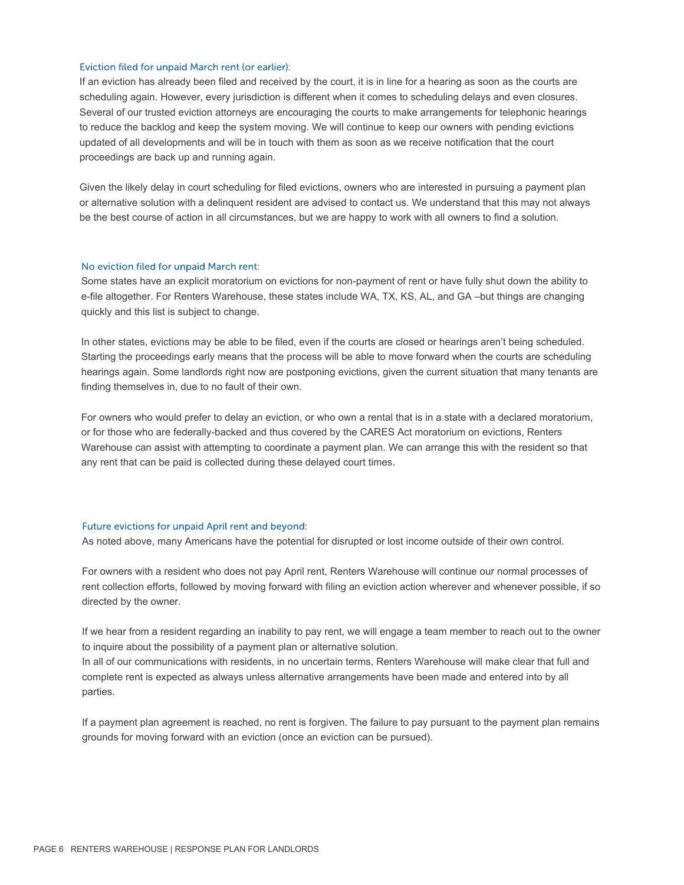#### Eviction filed for unpaid March rent (or earlier):

If an eviction has already been filed and received by the court, it is in line for a hearing as soon as the courts are scheduling again. However, every jurisdiction is different when it comes to scheduling delays and even closures. Several of our trusted eviction attorneys are encouraging the courts to make arrangements for telephonic hearings to reduce the backlog and keep the system moving. We will continue to keep our owners with pending evictions updated of all developments and will be in touch with them as soon as we receive notification that the court proceedings are back up and running again.

Given the likely delay in court scheduling for filed evictions, owners who are interested in pursuing a payment plan or alternative solution with a delinquent resident are advised to contact us. We understand that this may not always be the best course of action in all circumstances, but we are happy to work with all owners to find a solution.

#### No eviction filed for unpaid March rent:

Some states have an explicit moratorium on evictions for non-payment of rent or have fully shut down the ability to e-file altogether. For Renters Warehouse, these states include WA, TX, KS, AL, and GA –but things are changing quickly and this list is subject to change.

In other states, evictions may be able to be filed, even if the courts are closed or hearings aren't being scheduled. Starting the proceedings early means that the process will be able to move forward when the courts are scheduling hearings again. Some landlords right now are postponing evictions, given the current situation that many tenants are finding themselves in, due to no fault of their own.

For owners who would prefer to delay an eviction, or who own a rental that is in a state with a declared moratorium, or for those who are federally-backed and thus covered by the CARES Act moratorium on evictions, Renters Warehouse can assist with attempting to coordinate a payment plan. We can arrange this with the resident so that any rent that can be paid is collected during these delayed court times.

#### Future evictions for unpaid April rent and beyond:

As noted above, many Americans have the potential for disrupted or lost income outside of their own control.

For owners with a resident who does not pay April rent, Renters Warehouse will continue our normal processes of rent collection efforts, followed by moving forward with filing an eviction action wherever and whenever possible, if so directed by the owner.

If we hear from a resident regarding an inability to pay rent, we will engage a team member to reach out to the owner to inquire about the possibility of a payment plan or alternative solution.

In all of our communications with residents, in no uncertain terms, Renters Warehouse will make clear that full and complete rent is expected as always unless alternative arrangements have been made and entered into by all parties.

If a payment plan agreement is reached, no rent is forgiven. The failure to pay pursuant to the payment plan remains grounds for moving forward with an eviction (once an eviction can be pursued).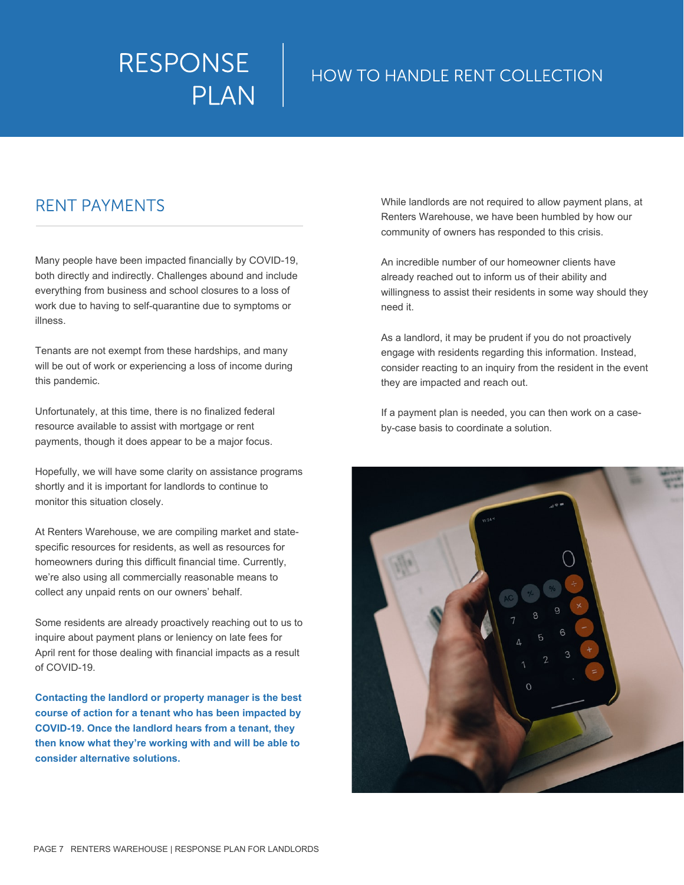# HOW TO HANDLE RENT COLLECTION

# RENT PAYMENTS

Many people have been impacted financially by COVID-19, both directly and indirectly. Challenges abound and include everything from business and school closures to a loss of work due to having to self-quarantine due to symptoms or illness.

Tenants are not exempt from these hardships, and many will be out of work or experiencing a loss of income during this pandemic.

Unfortunately, at this time, there is no finalized federal resource available to assist with mortgage or rent payments, though it does appear to be a major focus.

Hopefully, we will have some clarity on assistance programs shortly and it is important for landlords to continue to monitor this situation closely.

At Renters Warehouse, we are compiling market and statespecific resources for residents, as well as resources for homeowners during this difficult financial time. Currently, we're also using all commercially reasonable means to collect any unpaid rents on our owners' behalf.

Some residents are already proactively reaching out to us to inquire about payment plans or leniency on late fees for April rent for those dealing with financial impacts as a result of COVID-19.

**Contacting the landlord or property manager is the best course of action for a tenant who has been impacted by COVID-19. Once the landlord hears from a tenant, they then know what they're working with and will be able to consider alternative solutions.**

While landlords are not required to allow payment plans, at Renters Warehouse, we have been humbled by how our community of owners has responded to this crisis.

An incredible number of our homeowner clients have already reached out to inform us of their ability and willingness to assist their residents in some way should they need it.

As a landlord, it may be prudent if you do not proactively engage with residents regarding this information. Instead, consider reacting to an inquiry from the resident in the event they are impacted and reach out.

If a payment plan is needed, you can then work on a caseby-case basis to coordinate a solution.